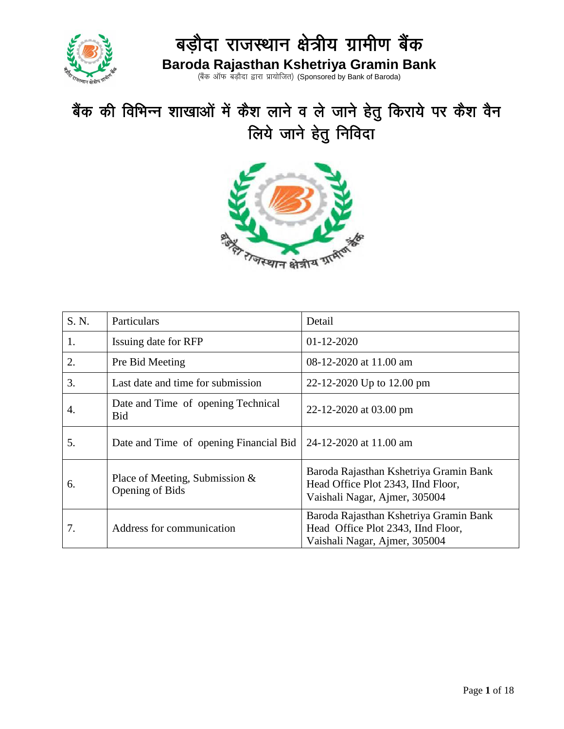

(बैंक ऑफ बड़ौदा द्वारा प्रायोजित) (Sponsored by Bank of Baroda)

# बैंक की विभिन्न शाखाओं में कैश लाने व ले जाने हेतु किराये पर कैश वैन लिये जाने हेतु निविदा



| S. N. | Particulars                                          | Detail                                                                                                        |  |
|-------|------------------------------------------------------|---------------------------------------------------------------------------------------------------------------|--|
| 1.    | Issuing date for RFP                                 | $01 - 12 - 2020$                                                                                              |  |
| 2.    | Pre Bid Meeting                                      | 08-12-2020 at 11.00 am                                                                                        |  |
| 3.    | Last date and time for submission                    | 22-12-2020 Up to 12.00 pm                                                                                     |  |
| 4.    | Date and Time of opening Technical<br><b>Bid</b>     | 22-12-2020 at 03.00 pm                                                                                        |  |
| 5.    | Date and Time of opening Financial Bid               | 24-12-2020 at 11.00 am                                                                                        |  |
| 6.    | Place of Meeting, Submission $\&$<br>Opening of Bids | Baroda Rajasthan Kshetriya Gramin Bank<br>Head Office Plot 2343, IInd Floor,<br>Vaishali Nagar, Ajmer, 305004 |  |
| 7.    | Address for communication                            | Baroda Rajasthan Kshetriya Gramin Bank<br>Head Office Plot 2343, IInd Floor,<br>Vaishali Nagar, Ajmer, 305004 |  |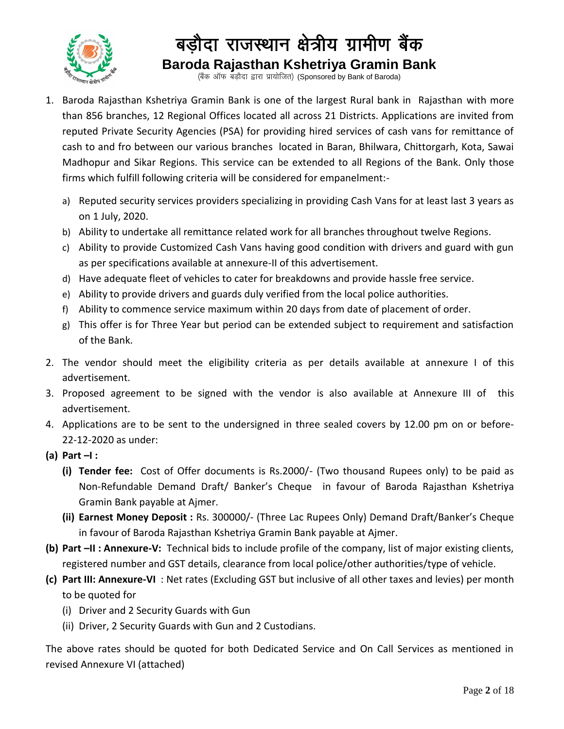

(बैंक ऑफ बड़ौदा द्वारा प्रायोजित) (Sponsored by Bank of Baroda)

- 1. Baroda Rajasthan Kshetriya Gramin Bank is one of the largest Rural bank in Rajasthan with more than 856 branches, 12 Regional Offices located all across 21 Districts. Applications are invited from reputed Private Security Agencies (PSA) for providing hired services of cash vans for remittance of cash to and fro between our various branches located in Baran, Bhilwara, Chittorgarh, Kota, Sawai Madhopur and Sikar Regions. This service can be extended to all Regions of the Bank. Only those firms which fulfill following criteria will be considered for empanelment:
	- a) Reputed security services providers specializing in providing Cash Vans for at least last 3 years as on 1 July, 2020.
	- b) Ability to undertake all remittance related work for all branches throughout twelve Regions.
	- c) Ability to provide Customized Cash Vans having good condition with drivers and guard with gun as per specifications available at annexure-II of this advertisement.
	- d) Have adequate fleet of vehicles to cater for breakdowns and provide hassle free service.
	- e) Ability to provide drivers and guards duly verified from the local police authorities.
	- f) Ability to commence service maximum within 20 days from date of placement of order.
	- g) This offer is for Three Year but period can be extended subject to requirement and satisfaction of the Bank.
- 2. The vendor should meet the eligibility criteria as per details available at annexure I of this advertisement.
- 3. Proposed agreement to be signed with the vendor is also available at Annexure III of this advertisement.
- 4. Applications are to be sent to the undersigned in three sealed covers by 12.00 pm on or before-22-12-2020 as under:
- **(a) Part –I :** 
	- **(i) Tender fee:** Cost of Offer documents is Rs.2000/- (Two thousand Rupees only) to be paid as Non-Refundable Demand Draft/ Banker's Cheque in favour of Baroda Rajasthan Kshetriya Gramin Bank payable at Ajmer.
	- **(ii) Earnest Money Deposit :** Rs. 300000/- (Three Lac Rupees Only) Demand Draft/Banker's Cheque in favour of Baroda Rajasthan Kshetriya Gramin Bank payable at Ajmer.
- **(b) Part –II : Annexure-V:** Technical bids to include profile of the company, list of major existing clients, registered number and GST details, clearance from local police/other authorities/type of vehicle.
- **(c) Part III: Annexure-VI** : Net rates (Excluding GST but inclusive of all other taxes and levies) per month to be quoted for
	- (i) Driver and 2 Security Guards with Gun
	- (ii) Driver, 2 Security Guards with Gun and 2 Custodians.

The above rates should be quoted for both Dedicated Service and On Call Services as mentioned in revised Annexure VI (attached)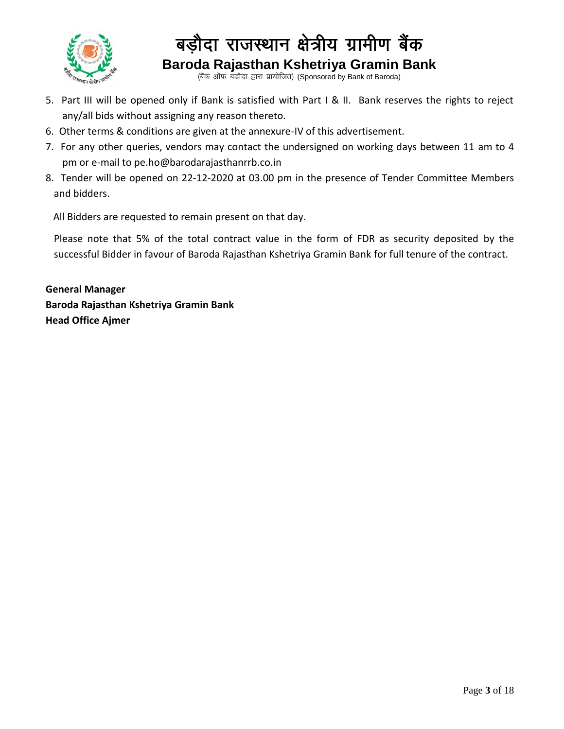

(बैंक ऑफ बड़ौदा द्वारा प्रायोजित) (Sponsored by Bank of Baroda)

- 5. Part III will be opened only if Bank is satisfied with Part I & II. Bank reserves the rights to reject any/all bids without assigning any reason thereto.
- 6. Other terms & conditions are given at the annexure-IV of this advertisement.
- 7. For any other queries, vendors may contact the undersigned on working days between 11 am to 4 pm or e-mail to pe.ho@barodarajasthanrrb.co.in
- 8. Tender will be opened on 22-12-2020 at 03.00 pm in the presence of Tender Committee Members and bidders.

All Bidders are requested to remain present on that day.

Please note that 5% of the total contract value in the form of FDR as security deposited by the successful Bidder in favour of Baroda Rajasthan Kshetriya Gramin Bank for full tenure of the contract.

**General Manager Baroda Rajasthan Kshetriya Gramin Bank Head Office Ajmer**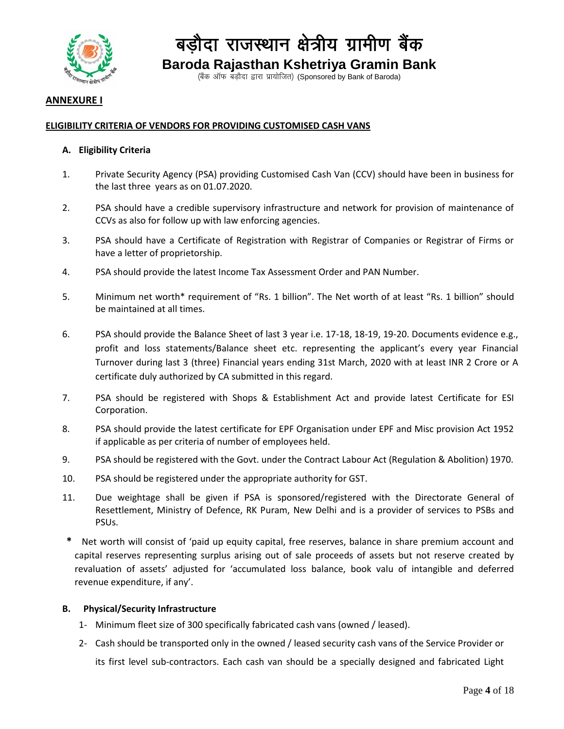

(बैंक ऑफ बड़ौदा द्वारा प्रायोजित) (Sponsored by Bank of Baroda)

#### **ANNEXURE I**

#### **ELIGIBILITY CRITERIA OF VENDORS FOR PROVIDING CUSTOMISED CASH VANS**

#### **A. Eligibility Criteria**

- 1. Private Security Agency (PSA) providing Customised Cash Van (CCV) should have been in business for the last three years as on 01.07.2020.
- 2. PSA should have a credible supervisory infrastructure and network for provision of maintenance of CCVs as also for follow up with law enforcing agencies.
- 3. PSA should have a Certificate of Registration with Registrar of Companies or Registrar of Firms or have a letter of proprietorship.
- 4. PSA should provide the latest Income Tax Assessment Order and PAN Number.
- 5. Minimum net worth\* requirement of "Rs. 1 billion". The Net worth of at least "Rs. 1 billion" should be maintained at all times.
- 6. PSA should provide the Balance Sheet of last 3 year i.e. 17-18, 18-19, 19-20. Documents evidence e.g., profit and loss statements/Balance sheet etc. representing the applicant's every year Financial Turnover during last 3 (three) Financial years ending 31st March, 2020 with at least INR 2 Crore or A certificate duly authorized by CA submitted in this regard.
- 7. PSA should be registered with Shops & Establishment Act and provide latest Certificate for ESI Corporation.
- 8. PSA should provide the latest certificate for EPF Organisation under EPF and Misc provision Act 1952 if applicable as per criteria of number of employees held.
- 9. PSA should be registered with the Govt. under the Contract Labour Act (Regulation & Abolition) 1970.
- 10. PSA should be registered under the appropriate authority for GST.
- 11. Due weightage shall be given if PSA is sponsored/registered with the Directorate General of Resettlement, Ministry of Defence, RK Puram, New Delhi and is a provider of services to PSBs and PSUs.
- **\*** Net worth will consist of 'paid up equity capital, free reserves, balance in share premium account and capital reserves representing surplus arising out of sale proceeds of assets but not reserve created by revaluation of assets' adjusted for 'accumulated loss balance, book valu of intangible and deferred revenue expenditure, if any'.

#### **B. Physical/Security Infrastructure**

- 1- Minimum fleet size of 300 specifically fabricated cash vans (owned / leased).
- 2- Cash should be transported only in the owned / leased security cash vans of the Service Provider or its first level sub-contractors. Each cash van should be a specially designed and fabricated Light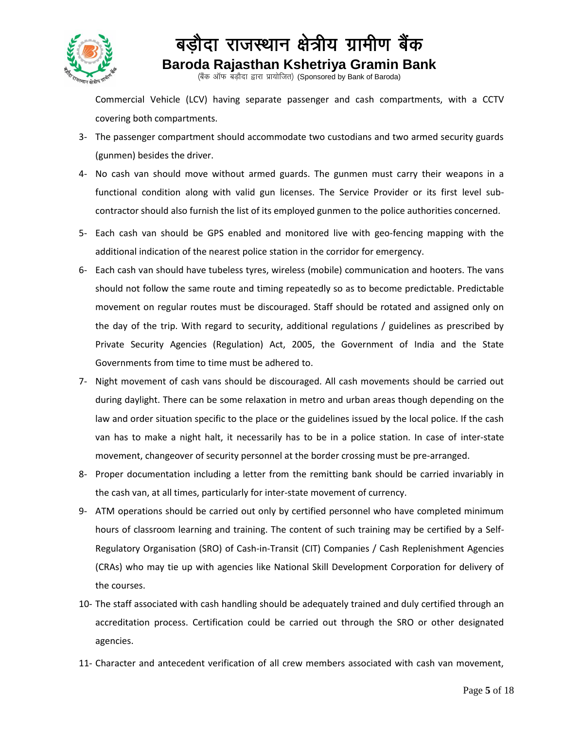

(बैंक ऑफ बड़ौदा द्वारा प्रायोजित) (Sponsored by Bank of Baroda)

Commercial Vehicle (LCV) having separate passenger and cash compartments, with a CCTV covering both compartments.

- 3- The passenger compartment should accommodate two custodians and two armed security guards (gunmen) besides the driver.
- 4- No cash van should move without armed guards. The gunmen must carry their weapons in a functional condition along with valid gun licenses. The Service Provider or its first level subcontractor should also furnish the list of its employed gunmen to the police authorities concerned.
- 5- Each cash van should be GPS enabled and monitored live with geo-fencing mapping with the additional indication of the nearest police station in the corridor for emergency.
- 6- Each cash van should have tubeless tyres, wireless (mobile) communication and hooters. The vans should not follow the same route and timing repeatedly so as to become predictable. Predictable movement on regular routes must be discouraged. Staff should be rotated and assigned only on the day of the trip. With regard to security, additional regulations / guidelines as prescribed by Private Security Agencies (Regulation) Act, 2005, the Government of India and the State Governments from time to time must be adhered to.
- 7- Night movement of cash vans should be discouraged. All cash movements should be carried out during daylight. There can be some relaxation in metro and urban areas though depending on the law and order situation specific to the place or the guidelines issued by the local police. If the cash van has to make a night halt, it necessarily has to be in a police station. In case of inter-state movement, changeover of security personnel at the border crossing must be pre-arranged.
- 8- Proper documentation including a letter from the remitting bank should be carried invariably in the cash van, at all times, particularly for inter-state movement of currency.
- 9- ATM operations should be carried out only by certified personnel who have completed minimum hours of classroom learning and training. The content of such training may be certified by a Self-Regulatory Organisation (SRO) of Cash-in-Transit (CIT) Companies / Cash Replenishment Agencies (CRAs) who may tie up with agencies like National Skill Development Corporation for delivery of the courses.
- 10- The staff associated with cash handling should be adequately trained and duly certified through an accreditation process. Certification could be carried out through the SRO or other designated agencies.
- 11- Character and antecedent verification of all crew members associated with cash van movement,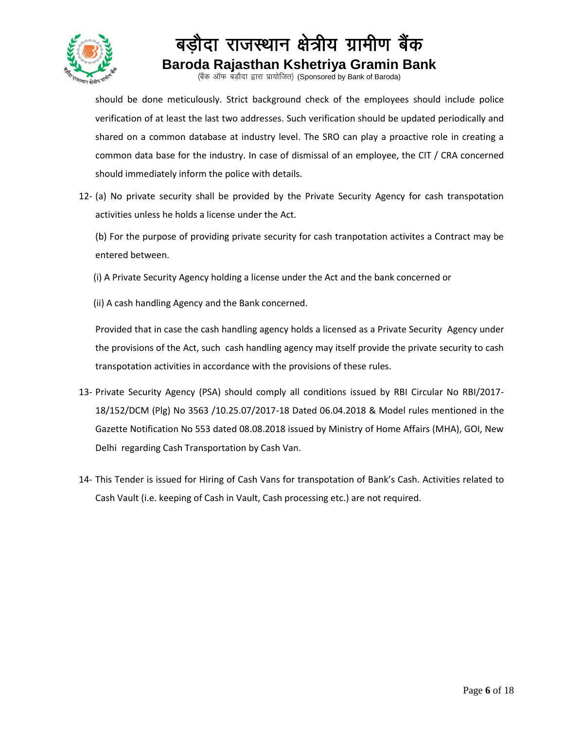

(बैंक ऑफ बड़ौदा द्वारा प्रायोजित) (Sponsored by Bank of Baroda)

should be done meticulously. Strict background check of the employees should include police verification of at least the last two addresses. Such verification should be updated periodically and shared on a common database at industry level. The SRO can play a proactive role in creating a common data base for the industry. In case of dismissal of an employee, the CIT / CRA concerned should immediately inform the police with details.

12- (a) No private security shall be provided by the Private Security Agency for cash transpotation activities unless he holds a license under the Act.

(b) For the purpose of providing private security for cash tranpotation activites a Contract may be entered between.

(i) A Private Security Agency holding a license under the Act and the bank concerned or

(ii) A cash handling Agency and the Bank concerned.

Provided that in case the cash handling agency holds a licensed as a Private Security Agency under the provisions of the Act, such cash handling agency may itself provide the private security to cash transpotation activities in accordance with the provisions of these rules.

- 13- Private Security Agency (PSA) should comply all conditions issued by RBI Circular No RBI/2017- 18/152/DCM (Plg) No 3563 /10.25.07/2017-18 Dated 06.04.2018 & Model rules mentioned in the Gazette Notification No 553 dated 08.08.2018 issued by Ministry of Home Affairs (MHA), GOI, New Delhi regarding Cash Transportation by Cash Van.
- 14- This Tender is issued for Hiring of Cash Vans for transpotation of Bank's Cash. Activities related to Cash Vault (i.e. keeping of Cash in Vault, Cash processing etc.) are not required.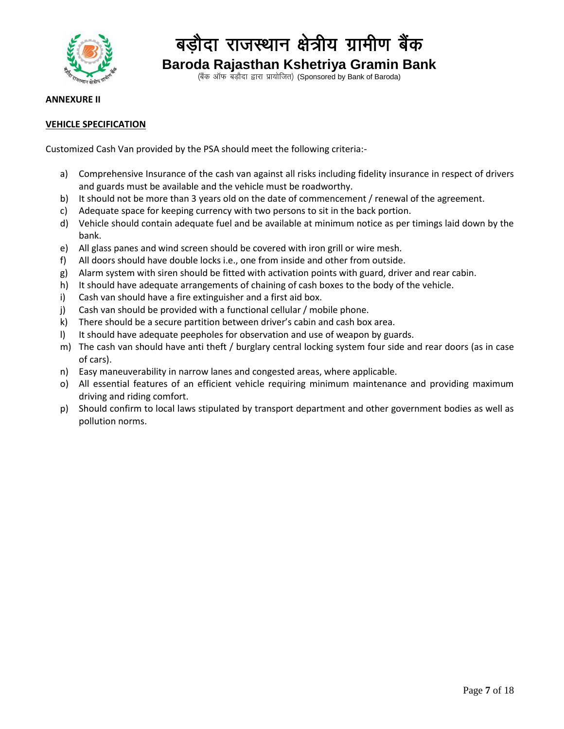

(बैंक ऑफ बड़ौदा द्वारा प्रायोजित) (Sponsored by Bank of Baroda)

#### **ANNEXURE II**

#### **VEHICLE SPECIFICATION**

Customized Cash Van provided by the PSA should meet the following criteria:-

- a) Comprehensive Insurance of the cash van against all risks including fidelity insurance in respect of drivers and guards must be available and the vehicle must be roadworthy.
- b) It should not be more than 3 years old on the date of commencement / renewal of the agreement.
- c) Adequate space for keeping currency with two persons to sit in the back portion.
- d) Vehicle should contain adequate fuel and be available at minimum notice as per timings laid down by the bank.
- e) All glass panes and wind screen should be covered with iron grill or wire mesh.
- f) All doors should have double locks i.e., one from inside and other from outside.
- g) Alarm system with siren should be fitted with activation points with guard, driver and rear cabin.
- h) It should have adequate arrangements of chaining of cash boxes to the body of the vehicle.
- i) Cash van should have a fire extinguisher and a first aid box.
- j) Cash van should be provided with a functional cellular / mobile phone.
- k) There should be a secure partition between driver's cabin and cash box area.
- I) It should have adequate peepholes for observation and use of weapon by guards.
- m) The cash van should have anti theft / burglary central locking system four side and rear doors (as in case of cars).
- n) Easy maneuverability in narrow lanes and congested areas, where applicable.
- o) All essential features of an efficient vehicle requiring minimum maintenance and providing maximum driving and riding comfort.
- p) Should confirm to local laws stipulated by transport department and other government bodies as well as pollution norms.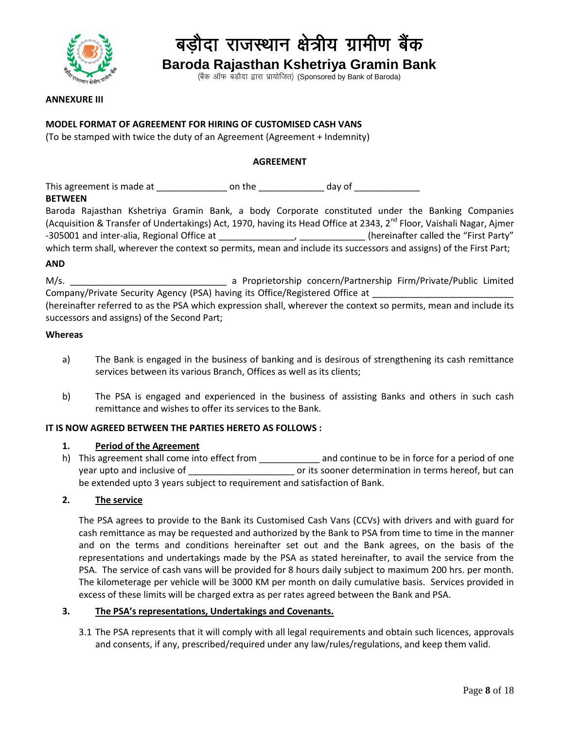

(बैंक ऑफ बड़ौदा द्वारा प्रायोजित) (Sponsored by Bank of Baroda)

#### **ANNEXURE III**

#### **MODEL FORMAT OF AGREEMENT FOR HIRING OF CUSTOMISED CASH VANS**

(To be stamped with twice the duty of an Agreement (Agreement + Indemnity)

#### **AGREEMENT**

This agreement is made at \_\_\_\_\_\_\_\_\_\_\_\_\_\_\_\_\_\_ on the \_\_\_\_\_\_\_\_\_\_\_\_\_\_\_\_ day of \_\_\_\_\_\_\_\_\_\_\_\_\_\_\_\_\_\_\_\_\_\_\_\_

#### **BETWEEN**

|                                            |  |  |  | Baroda Rajasthan Kshetriya Gramin Bank, a body Corporate constituted under the Banking Companies                                 |  |                                       |
|--------------------------------------------|--|--|--|----------------------------------------------------------------------------------------------------------------------------------|--|---------------------------------------|
|                                            |  |  |  | (Acquisition & Transfer of Undertakings) Act, 1970, having its Head Office at 2343, 2 <sup>nd</sup> Floor, Vaishali Nagar, Ajmer |  |                                       |
| -305001 and inter-alia, Regional Office at |  |  |  |                                                                                                                                  |  | (hereinafter called the "First Party" |
|                                            |  |  |  | which term shall, wherever the context so permits, mean and include its successors and assigns) of the First Part;               |  |                                       |

#### **AND**

M/s. \_\_\_\_\_\_\_\_\_\_\_\_\_\_\_\_\_\_\_\_\_\_\_\_\_\_\_\_\_\_\_ a Proprietorship concern/Partnership Firm/Private/Public Limited Company/Private Security Agency (PSA) having its Office/Registered Office at

(hereinafter referred to as the PSA which expression shall, wherever the context so permits, mean and include its successors and assigns) of the Second Part;

#### **Whereas**

- a) The Bank is engaged in the business of banking and is desirous of strengthening its cash remittance services between its various Branch, Offices as well as its clients;
- b) The PSA is engaged and experienced in the business of assisting Banks and others in such cash remittance and wishes to offer its services to the Bank.

#### **IT IS NOW AGREED BETWEEN THE PARTIES HERETO AS FOLLOWS :**

#### **1. Period of the Agreement**

h) This agreement shall come into effect from \_\_\_\_\_\_\_\_\_\_\_\_\_\_ and continue to be in force for a period of one year upto and inclusive of  $\qquad \qquad \text{or its sooner determination in terms here of, but can}$ be extended upto 3 years subject to requirement and satisfaction of Bank.

#### **2. The service**

The PSA agrees to provide to the Bank its Customised Cash Vans (CCVs) with drivers and with guard for cash remittance as may be requested and authorized by the Bank to PSA from time to time in the manner and on the terms and conditions hereinafter set out and the Bank agrees, on the basis of the representations and undertakings made by the PSA as stated hereinafter, to avail the service from the PSA. The service of cash vans will be provided for 8 hours daily subject to maximum 200 hrs. per month. The kilometerage per vehicle will be 3000 KM per month on daily cumulative basis. Services provided in excess of these limits will be charged extra as per rates agreed between the Bank and PSA.

#### **3. The PSA's representations, Undertakings and Covenants.**

3.1 The PSA represents that it will comply with all legal requirements and obtain such licences, approvals and consents, if any, prescribed/required under any law/rules/regulations, and keep them valid.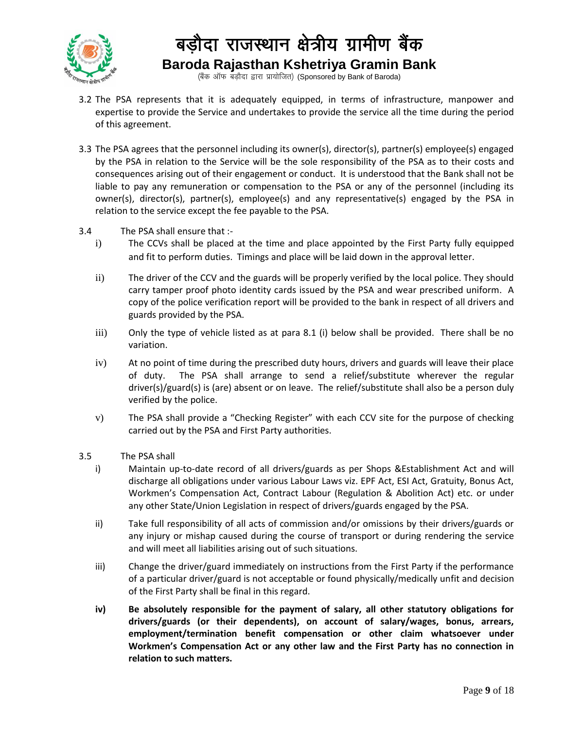

(बैंक ऑफ बड़ौदा द्वारा प्रायोजित) (Sponsored by Bank of Baroda)

- 3.2 The PSA represents that it is adequately equipped, in terms of infrastructure, manpower and expertise to provide the Service and undertakes to provide the service all the time during the period of this agreement.
- 3.3 The PSA agrees that the personnel including its owner(s), director(s), partner(s) employee(s) engaged by the PSA in relation to the Service will be the sole responsibility of the PSA as to their costs and consequences arising out of their engagement or conduct. It is understood that the Bank shall not be liable to pay any remuneration or compensation to the PSA or any of the personnel (including its owner(s), director(s), partner(s), employee(s) and any representative(s) engaged by the PSA in relation to the service except the fee payable to the PSA.
- 3.4 The PSA shall ensure that :
	- i) The CCVs shall be placed at the time and place appointed by the First Party fully equipped and fit to perform duties. Timings and place will be laid down in the approval letter.
	- ii) The driver of the CCV and the guards will be properly verified by the local police. They should carry tamper proof photo identity cards issued by the PSA and wear prescribed uniform. A copy of the police verification report will be provided to the bank in respect of all drivers and guards provided by the PSA.
	- iii) Only the type of vehicle listed as at para 8.1 (i) below shall be provided. There shall be no variation.
	- iv) At no point of time during the prescribed duty hours, drivers and guards will leave their place of duty. The PSA shall arrange to send a relief/substitute wherever the regular driver(s)/guard(s) is (are) absent or on leave. The relief/substitute shall also be a person duly verified by the police.
	- v) The PSA shall provide a "Checking Register" with each CCV site for the purpose of checking carried out by the PSA and First Party authorities.
- 3.5 The PSA shall
	- i) Maintain up-to-date record of all drivers/guards as per Shops &Establishment Act and will discharge all obligations under various Labour Laws viz. EPF Act, ESI Act, Gratuity, Bonus Act, Workmen's Compensation Act, Contract Labour (Regulation & Abolition Act) etc. or under any other State/Union Legislation in respect of drivers/guards engaged by the PSA.
	- ii) Take full responsibility of all acts of commission and/or omissions by their drivers/guards or any injury or mishap caused during the course of transport or during rendering the service and will meet all liabilities arising out of such situations.
	- iii) Change the driver/guard immediately on instructions from the First Party if the performance of a particular driver/guard is not acceptable or found physically/medically unfit and decision of the First Party shall be final in this regard.
	- **iv) Be absolutely responsible for the payment of salary, all other statutory obligations for drivers/guards (or their dependents), on account of salary/wages, bonus, arrears, employment/termination benefit compensation or other claim whatsoever under Workmen's Compensation Act or any other law and the First Party has no connection in relation to such matters.**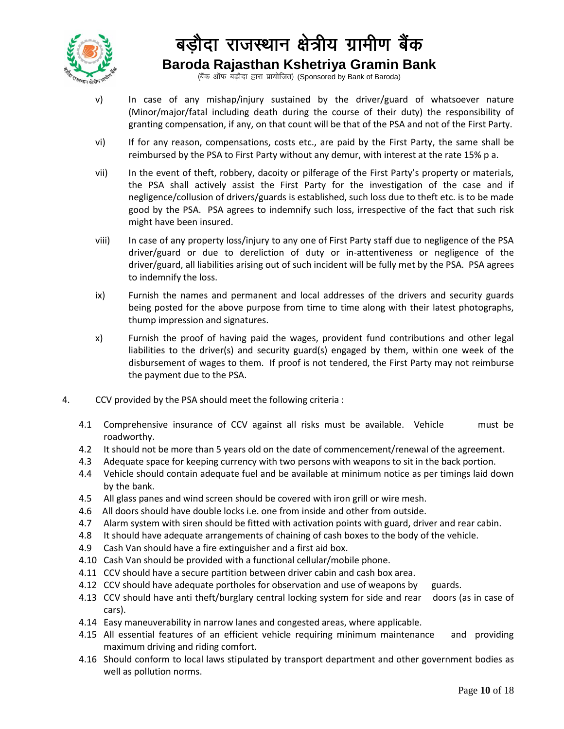

(बैंक ऑफ बड़ौदा द्वारा प्रायोजित) (Sponsored by Bank of Baroda)

- v) In case of any mishap/injury sustained by the driver/guard of whatsoever nature (Minor/major/fatal including death during the course of their duty) the responsibility of granting compensation, if any, on that count will be that of the PSA and not of the First Party.
- vi) If for any reason, compensations, costs etc., are paid by the First Party, the same shall be reimbursed by the PSA to First Party without any demur, with interest at the rate 15% p a.
- vii) In the event of theft, robbery, dacoity or pilferage of the First Party's property or materials, the PSA shall actively assist the First Party for the investigation of the case and if negligence/collusion of drivers/guards is established, such loss due to theft etc. is to be made good by the PSA. PSA agrees to indemnify such loss, irrespective of the fact that such risk might have been insured.
- viii) In case of any property loss/injury to any one of First Party staff due to negligence of the PSA driver/guard or due to dereliction of duty or in-attentiveness or negligence of the driver/guard, all liabilities arising out of such incident will be fully met by the PSA. PSA agrees to indemnify the loss.
- ix) Furnish the names and permanent and local addresses of the drivers and security guards being posted for the above purpose from time to time along with their latest photographs, thump impression and signatures.
- x) Furnish the proof of having paid the wages, provident fund contributions and other legal liabilities to the driver(s) and security guard(s) engaged by them, within one week of the disbursement of wages to them. If proof is not tendered, the First Party may not reimburse the payment due to the PSA.
- 4. CCV provided by the PSA should meet the following criteria :
	- 4.1 Comprehensive insurance of CCV against all risks must be available. Vehicle must be roadworthy.
	- 4.2 It should not be more than 5 years old on the date of commencement/renewal of the agreement.
	- 4.3 Adequate space for keeping currency with two persons with weapons to sit in the back portion.
	- 4.4 Vehicle should contain adequate fuel and be available at minimum notice as per timings laid down by the bank.
	- 4.5 All glass panes and wind screen should be covered with iron grill or wire mesh.
	- 4.6 All doors should have double locks i.e. one from inside and other from outside.
	- 4.7 Alarm system with siren should be fitted with activation points with guard, driver and rear cabin.
	- 4.8 It should have adequate arrangements of chaining of cash boxes to the body of the vehicle.
	- 4.9 Cash Van should have a fire extinguisher and a first aid box.
	- 4.10 Cash Van should be provided with a functional cellular/mobile phone.
	- 4.11 CCV should have a secure partition between driver cabin and cash box area.
	- 4.12 CCV should have adequate portholes for observation and use of weapons by guards.
	- 4.13 CCV should have anti theft/burglary central locking system for side and rear doors (as in case of cars).
	- 4.14 Easy maneuverability in narrow lanes and congested areas, where applicable.
	- 4.15 All essential features of an efficient vehicle requiring minimum maintenance and providing maximum driving and riding comfort.
	- 4.16 Should conform to local laws stipulated by transport department and other government bodies as well as pollution norms.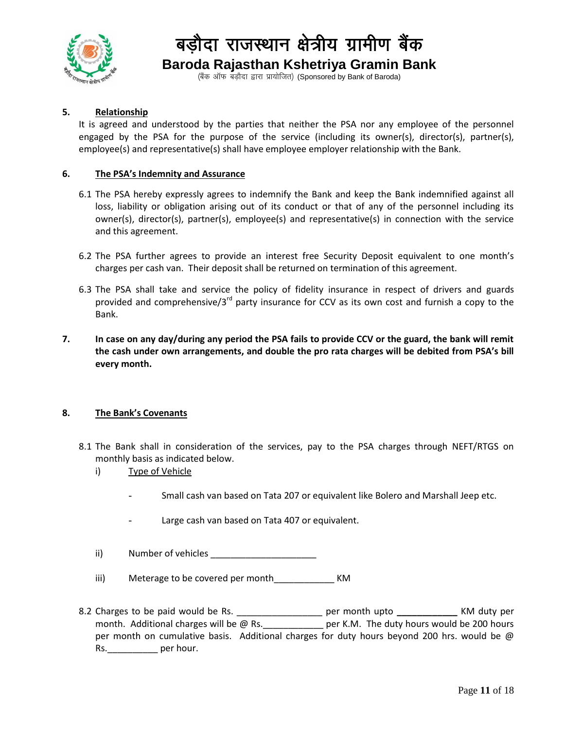

(बैंक ऑफ बड़ौदा द्वारा प्रायोजित) (Sponsored by Bank of Baroda)

#### **5. Relationship**

It is agreed and understood by the parties that neither the PSA nor any employee of the personnel engaged by the PSA for the purpose of the service (including its owner(s), director(s), partner(s), employee(s) and representative(s) shall have employee employer relationship with the Bank.

#### **6. The PSA's Indemnity and Assurance**

- 6.1 The PSA hereby expressly agrees to indemnify the Bank and keep the Bank indemnified against all loss, liability or obligation arising out of its conduct or that of any of the personnel including its owner(s), director(s), partner(s), employee(s) and representative(s) in connection with the service and this agreement.
- 6.2 The PSA further agrees to provide an interest free Security Deposit equivalent to one month's charges per cash van. Their deposit shall be returned on termination of this agreement.
- 6.3 The PSA shall take and service the policy of fidelity insurance in respect of drivers and guards provided and comprehensive/3<sup>rd</sup> party insurance for CCV as its own cost and furnish a copy to the Bank.
- **7. In case on any day/during any period the PSA fails to provide CCV or the guard, the bank will remit the cash under own arrangements, and double the pro rata charges will be debited from PSA's bill every month.**

#### **8. The Bank's Covenants**

- 8.1 The Bank shall in consideration of the services, pay to the PSA charges through NEFT/RTGS on monthly basis as indicated below.
	- i) Type of Vehicle
		- Small cash van based on Tata 207 or equivalent like Bolero and Marshall Jeep etc.
		- Large cash van based on Tata 407 or equivalent.
	- ii) Number of vehicles \_\_\_\_\_\_\_\_\_\_\_\_\_\_\_\_\_\_\_\_\_
	- iii) Meterage to be covered per month KM
- 8.2 Charges to be paid would be Rs. \_\_\_\_\_\_\_\_\_\_\_\_\_\_\_\_\_ per month upto **\_\_\_\_\_\_\_\_\_\_\_\_** KM duty per month. Additional charges will be @ Rs.  $\qquad \qquad$  per K.M. The duty hours would be 200 hours per month on cumulative basis. Additional charges for duty hours beyond 200 hrs. would be  $\omega$ Rs. example per hour.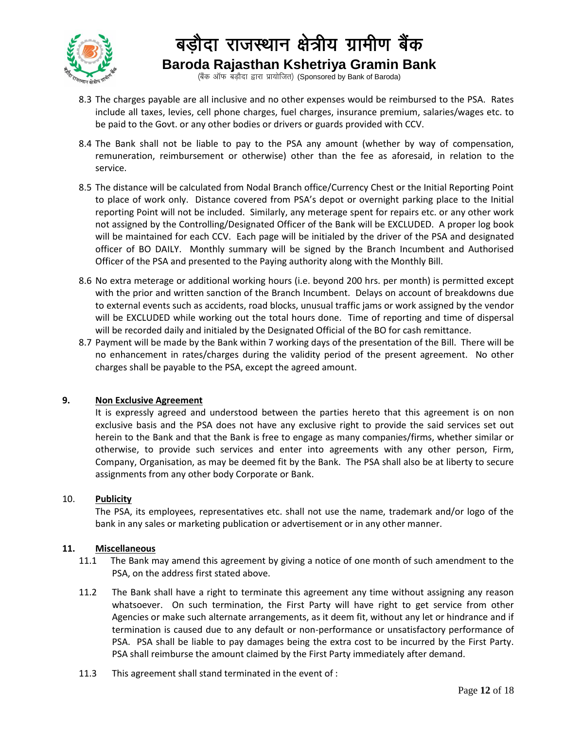

(बैंक ऑफ बड़ौदा द्वारा प्रायोजित) (Sponsored by Bank of Baroda)

- 8.3 The charges payable are all inclusive and no other expenses would be reimbursed to the PSA. Rates include all taxes, levies, cell phone charges, fuel charges, insurance premium, salaries/wages etc. to be paid to the Govt. or any other bodies or drivers or guards provided with CCV.
- 8.4 The Bank shall not be liable to pay to the PSA any amount (whether by way of compensation, remuneration, reimbursement or otherwise) other than the fee as aforesaid, in relation to the service.
- 8.5 The distance will be calculated from Nodal Branch office/Currency Chest or the Initial Reporting Point to place of work only. Distance covered from PSA's depot or overnight parking place to the Initial reporting Point will not be included. Similarly, any meterage spent for repairs etc. or any other work not assigned by the Controlling/Designated Officer of the Bank will be EXCLUDED. A proper log book will be maintained for each CCV. Each page will be initialed by the driver of the PSA and designated officer of BO DAILY. Monthly summary will be signed by the Branch Incumbent and Authorised Officer of the PSA and presented to the Paying authority along with the Monthly Bill.
- 8.6 No extra meterage or additional working hours (i.e. beyond 200 hrs. per month) is permitted except with the prior and written sanction of the Branch Incumbent. Delays on account of breakdowns due to external events such as accidents, road blocks, unusual traffic jams or work assigned by the vendor will be EXCLUDED while working out the total hours done. Time of reporting and time of dispersal will be recorded daily and initialed by the Designated Official of the BO for cash remittance.
- 8.7 Payment will be made by the Bank within 7 working days of the presentation of the Bill. There will be no enhancement in rates/charges during the validity period of the present agreement. No other charges shall be payable to the PSA, except the agreed amount.

#### **9. Non Exclusive Agreement**

It is expressly agreed and understood between the parties hereto that this agreement is on non exclusive basis and the PSA does not have any exclusive right to provide the said services set out herein to the Bank and that the Bank is free to engage as many companies/firms, whether similar or otherwise, to provide such services and enter into agreements with any other person, Firm, Company, Organisation, as may be deemed fit by the Bank. The PSA shall also be at liberty to secure assignments from any other body Corporate or Bank.

#### 10. **Publicity**

The PSA, its employees, representatives etc. shall not use the name, trademark and/or logo of the bank in any sales or marketing publication or advertisement or in any other manner.

#### **11. Miscellaneous**

- 11.1 The Bank may amend this agreement by giving a notice of one month of such amendment to the PSA, on the address first stated above.
- 11.2 The Bank shall have a right to terminate this agreement any time without assigning any reason whatsoever. On such termination, the First Party will have right to get service from other Agencies or make such alternate arrangements, as it deem fit, without any let or hindrance and if termination is caused due to any default or non-performance or unsatisfactory performance of PSA. PSA shall be liable to pay damages being the extra cost to be incurred by the First Party. PSA shall reimburse the amount claimed by the First Party immediately after demand.
- 11.3 This agreement shall stand terminated in the event of :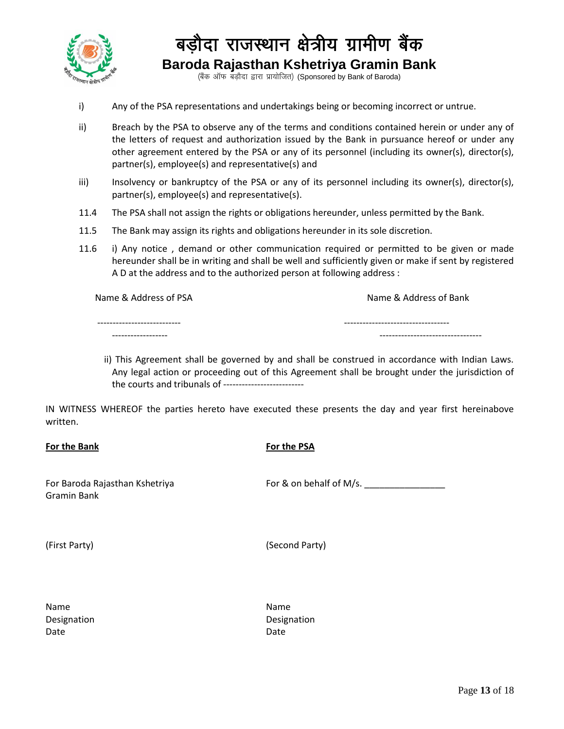

(बैंक ऑफ बड़ौदा द्वारा प्रायोजित) (Sponsored by Bank of Baroda)

- i) Any of the PSA representations and undertakings being or becoming incorrect or untrue.
- ii) Breach by the PSA to observe any of the terms and conditions contained herein or under any of the letters of request and authorization issued by the Bank in pursuance hereof or under any other agreement entered by the PSA or any of its personnel (including its owner(s), director(s), partner(s), employee(s) and representative(s) and
- iii) Insolvency or bankruptcy of the PSA or any of its personnel including its owner(s), director(s), partner(s), employee(s) and representative(s).
- 11.4 The PSA shall not assign the rights or obligations hereunder, unless permitted by the Bank.
- 11.5 The Bank may assign its rights and obligations hereunder in its sole discretion.
- 11.6 i) Any notice , demand or other communication required or permitted to be given or made hereunder shall be in writing and shall be well and sufficiently given or make if sent by registered A D at the address and to the authorized person at following address :

Name & Address of PSA Name & Address of Bank

| ---------------------------- | ----------------------------------- |
|------------------------------|-------------------------------------|
| -------------------          | ----------------------------------  |

 ii) This Agreement shall be governed by and shall be construed in accordance with Indian Laws. Any legal action or proceeding out of this Agreement shall be brought under the jurisdiction of the courts and tribunals of --------------------------

IN WITNESS WHEREOF the parties hereto have executed these presents the day and year first hereinabove written.

#### **For the Bank**

#### **For the PSA**

For Baroda Rajasthan Kshetriya Gramin Bank

For & on behalf of M/s.

(First Party)

| (Second Party) |  |
|----------------|--|
|----------------|--|

| Name        |
|-------------|
| Designation |
| Date        |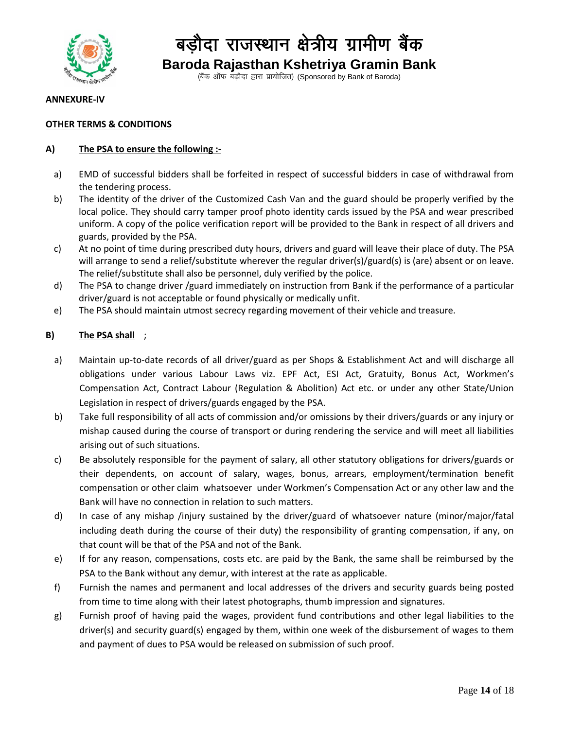

(बैंक ऑफ बड़ौदा द्वारा प्रायोजित) (Sponsored by Bank of Baroda)

#### **ANNEXURE-IV**

#### **OTHER TERMS & CONDITIONS**

#### **A) The PSA to ensure the following :-**

- a) EMD of successful bidders shall be forfeited in respect of successful bidders in case of withdrawal from the tendering process.
- b) The identity of the driver of the Customized Cash Van and the guard should be properly verified by the local police. They should carry tamper proof photo identity cards issued by the PSA and wear prescribed uniform. A copy of the police verification report will be provided to the Bank in respect of all drivers and guards, provided by the PSA.
- c) At no point of time during prescribed duty hours, drivers and guard will leave their place of duty. The PSA will arrange to send a relief/substitute wherever the regular driver(s)/guard(s) is (are) absent or on leave. The relief/substitute shall also be personnel, duly verified by the police.
- d) The PSA to change driver /guard immediately on instruction from Bank if the performance of a particular driver/guard is not acceptable or found physically or medically unfit.
- e) The PSA should maintain utmost secrecy regarding movement of their vehicle and treasure.

#### **B) The PSA shall** ;

- a) Maintain up-to-date records of all driver/guard as per Shops & Establishment Act and will discharge all obligations under various Labour Laws viz. EPF Act, ESI Act, Gratuity, Bonus Act, Workmen's Compensation Act, Contract Labour (Regulation & Abolition) Act etc. or under any other State/Union Legislation in respect of drivers/guards engaged by the PSA.
- b) Take full responsibility of all acts of commission and/or omissions by their drivers/guards or any injury or mishap caused during the course of transport or during rendering the service and will meet all liabilities arising out of such situations.
- c) Be absolutely responsible for the payment of salary, all other statutory obligations for drivers/guards or their dependents, on account of salary, wages, bonus, arrears, employment/termination benefit compensation or other claim whatsoever under Workmen's Compensation Act or any other law and the Bank will have no connection in relation to such matters.
- d) In case of any mishap /injury sustained by the driver/guard of whatsoever nature (minor/major/fatal including death during the course of their duty) the responsibility of granting compensation, if any, on that count will be that of the PSA and not of the Bank.
- e) If for any reason, compensations, costs etc. are paid by the Bank, the same shall be reimbursed by the PSA to the Bank without any demur, with interest at the rate as applicable.
- f) Furnish the names and permanent and local addresses of the drivers and security guards being posted from time to time along with their latest photographs, thumb impression and signatures.
- g) Furnish proof of having paid the wages, provident fund contributions and other legal liabilities to the driver(s) and security guard(s) engaged by them, within one week of the disbursement of wages to them and payment of dues to PSA would be released on submission of such proof.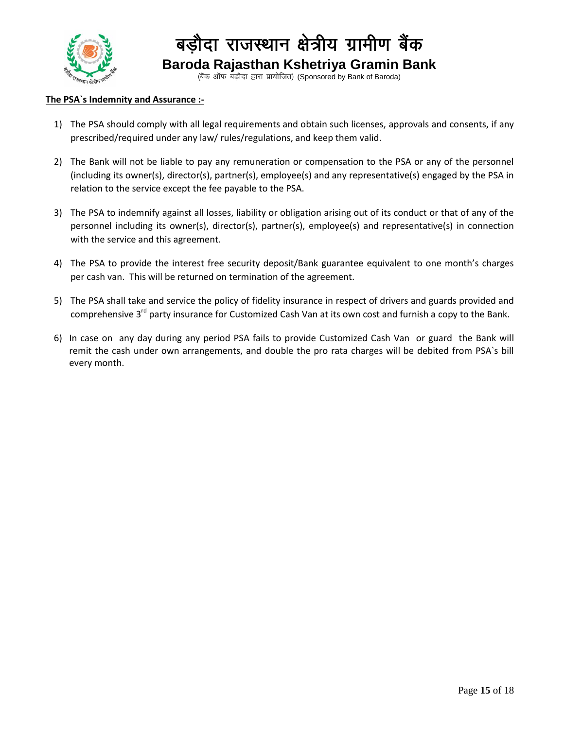

(बैंक ऑफ बड़ौदा द्वारा प्रायोजित) (Sponsored by Bank of Baroda)

#### **The PSA`s Indemnity and Assurance :-**

- 1) The PSA should comply with all legal requirements and obtain such licenses, approvals and consents, if any prescribed/required under any law/ rules/regulations, and keep them valid.
- 2) The Bank will not be liable to pay any remuneration or compensation to the PSA or any of the personnel (including its owner(s), director(s), partner(s), employee(s) and any representative(s) engaged by the PSA in relation to the service except the fee payable to the PSA.
- 3) The PSA to indemnify against all losses, liability or obligation arising out of its conduct or that of any of the personnel including its owner(s), director(s), partner(s), employee(s) and representative(s) in connection with the service and this agreement.
- 4) The PSA to provide the interest free security deposit/Bank guarantee equivalent to one month's charges per cash van. This will be returned on termination of the agreement.
- 5) The PSA shall take and service the policy of fidelity insurance in respect of drivers and guards provided and comprehensive 3<sup>rd</sup> party insurance for Customized Cash Van at its own cost and furnish a copy to the Bank.
- 6) In case on any day during any period PSA fails to provide Customized Cash Van or guard the Bank will remit the cash under own arrangements, and double the pro rata charges will be debited from PSA`s bill every month.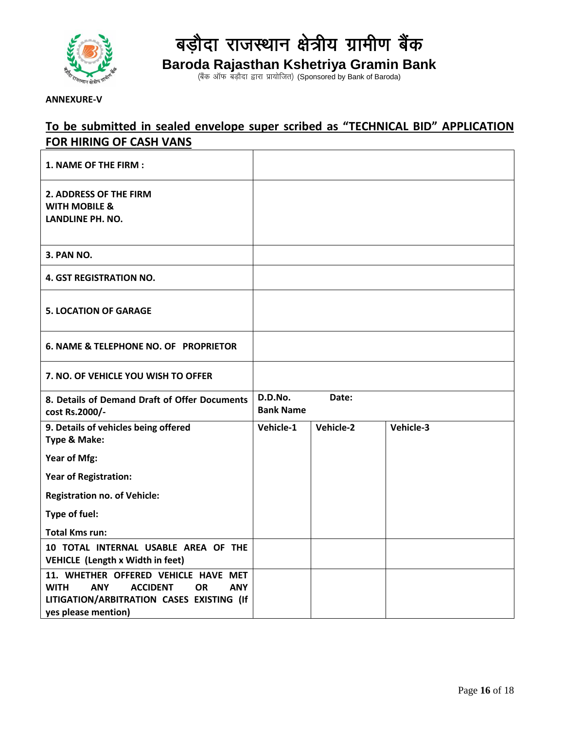

बड़ौदा राजस्थान क्षेत्रीय ग्रामीण बैंक

**Baroda Rajasthan Kshetriya Gramin Bank**

(बैंक ऑफ बड़ौदा द्वारा प्रायोजित) (Sponsored by Bank of Baroda)

**ANNEXURE-V**

#### **To be submitted in sealed envelope super scribed as "TECHNICAL BID" APPLICATION FOR HIRING OF CASH VANS**

| 1. NAME OF THE FIRM :                                                                                                                                                               |                             |           |           |
|-------------------------------------------------------------------------------------------------------------------------------------------------------------------------------------|-----------------------------|-----------|-----------|
| 2. ADDRESS OF THE FIRM<br><b>WITH MOBILE &amp;</b><br><b>LANDLINE PH. NO.</b>                                                                                                       |                             |           |           |
| <b>3. PAN NO.</b>                                                                                                                                                                   |                             |           |           |
| <b>4. GST REGISTRATION NO.</b>                                                                                                                                                      |                             |           |           |
| <b>5. LOCATION OF GARAGE</b>                                                                                                                                                        |                             |           |           |
| <b>6. NAME &amp; TELEPHONE NO. OF PROPRIETOR</b>                                                                                                                                    |                             |           |           |
| 7. NO. OF VEHICLE YOU WISH TO OFFER                                                                                                                                                 |                             |           |           |
| 8. Details of Demand Draft of Offer Documents<br>cost Rs.2000/-                                                                                                                     | D.D.No.<br><b>Bank Name</b> | Date:     |           |
| 9. Details of vehicles being offered<br><b>Type &amp; Make:</b>                                                                                                                     | Vehicle-1                   | Vehicle-2 | Vehicle-3 |
| Year of Mfg:                                                                                                                                                                        |                             |           |           |
| <b>Year of Registration:</b>                                                                                                                                                        |                             |           |           |
| <b>Registration no. of Vehicle:</b>                                                                                                                                                 |                             |           |           |
| Type of fuel:                                                                                                                                                                       |                             |           |           |
| <b>Total Kms run:</b>                                                                                                                                                               |                             |           |           |
| 10 TOTAL INTERNAL USABLE AREA OF THE<br><b>VEHICLE (Length x Width in feet)</b>                                                                                                     |                             |           |           |
| 11. WHETHER OFFERED VEHICLE HAVE MET<br><b>WITH</b><br><b>ACCIDENT</b><br><b>OR</b><br><b>ANY</b><br><b>ANY</b><br>LITIGATION/ARBITRATION CASES EXISTING (If<br>yes please mention) |                             |           |           |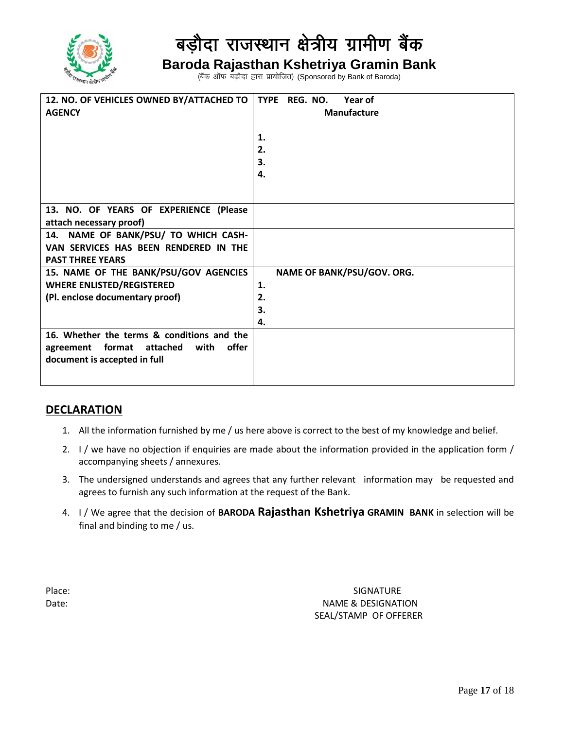

# बड़ौदा राजस्थान क्षेत्रीय ग्रामीण बैंक

### **Baroda Rajasthan Kshetriya Gramin Bank**

(बैंक ऑफ बड़ौदा द्वारा प्रायोजित) (Sponsored by Bank of Baroda)

| 12. NO. OF VEHICLES OWNED BY/ATTACHED TO<br><b>AGENCY</b> | TYPE REG. NO.<br>Year of<br>Manufacture<br>1.<br>2.<br>3.<br>4. |
|-----------------------------------------------------------|-----------------------------------------------------------------|
| 13. NO. OF YEARS OF EXPERIENCE (Please                    |                                                                 |
| attach necessary proof)                                   |                                                                 |
| 14. NAME OF BANK/PSU/ TO WHICH CASH-                      |                                                                 |
| VAN SERVICES HAS BEEN RENDERED IN THE                     |                                                                 |
| <b>PAST THREE YEARS</b>                                   |                                                                 |
| 15. NAME OF THE BANK/PSU/GOV AGENCIES                     | NAME OF BANK/PSU/GOV. ORG.                                      |
| <b>WHERE ENLISTED/REGISTERED</b>                          | 1.                                                              |
| (Pl. enclose documentary proof)                           | 2.                                                              |
|                                                           | 3.                                                              |
|                                                           | 4.                                                              |
| 16. Whether the terms & conditions and the                |                                                                 |
| offer<br>format<br>with<br>attached<br>agreement          |                                                                 |
| document is accepted in full                              |                                                                 |
|                                                           |                                                                 |
|                                                           |                                                                 |

#### **DECLARATION**

- 1. All the information furnished by me / us here above is correct to the best of my knowledge and belief.
- 2. I / we have no objection if enquiries are made about the information provided in the application form / accompanying sheets / annexures.
- 3. The undersigned understands and agrees that any further relevant information may be requested and agrees to furnish any such information at the request of the Bank.
- 4. I / We agree that the decision of **BARODA Rajasthan Kshetriya GRAMIN BANK** in selection will be final and binding to me / us.

Place: SIGNATURE & SIGNATURE & SIGNATURE & SIGNATURE & SIGNATURE & SIGNATURE & SIGNATURE & SIGNATURE & SIGNATURE & SIGNATURE & SIGNATURE & SIGNATURE & SIGNATURE & SIGNATURE & SIGNATURE & SIGNATURE & SIGNATURE & SIGNATURE & Date: NAME & DESIGNATION SEAL/STAMP OF OFFERER